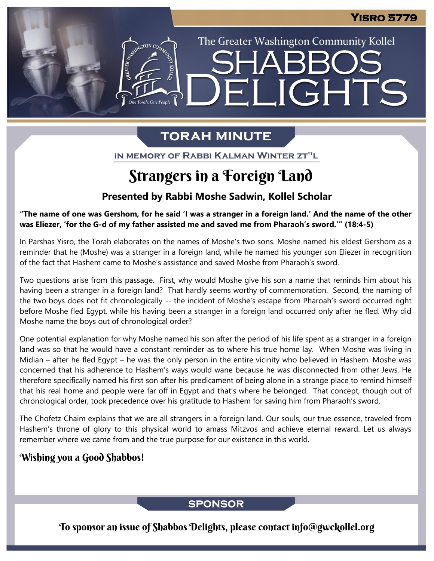The Greater Washington Community Kollel

ELIGHTS

# **TORAH MINUTE**

ASSEMBATON CO

IN MEMORY OF RABBI KALMAN WINTER ZT"L

# Strangers in a Foreign Land

## **Presented by Rabbi Moshe Sadwin, Kollel Scholar**

"The name of one was Gershom, for he said 'I was a stranger in a foreign land.' And the name of the other was Eliezer, 'for the G-d of my father assisted me and saved me from Pharaoh's sword."" (18:4-5)

In Parshas Yisro, the Torah elaborates on the names of Moshe's two sons. Moshe named his eldest Gershom as a reminder that he (Moshe) was a stranger in a foreign land, while he named his younger son Eliezer in recognition of the fact that Hashem came to Moshe's assistance and saved Moshe from Pharaoh's sword.

Two questions arise from this passage. First, why would Moshe give his son a name that reminds him about his having been a stranger in a foreign land? That hardly seems worthy of commemoration. Second, the naming of the two boys does not fit chronologically -- the incident of Moshe's escape from Pharoah's sword occurred right before Moshe fled Egypt, while his having been a stranger in a foreign land occurred only after he fled. Why did Moshe name the boys out of chronological order?

One potential explanation for why Moshe named his son after the period of his life spent as a stranger in a foreign land was so that he would have a constant reminder as to where his true home lay. When Moshe was living in Midian – after he fled Egypt – he was the only person in the entire vicinity who believed in Hashem. Moshe was concerned that his adherence to Hashem's ways would wane because he was disconnected from other Jews. He therefore specifically named his first son after his predicament of being alone in a strange place to remind himself that his real home and people were far off in Egypt and that's where he belonged. That concept, though out of chronological order, took precedence over his gratitude to Hashem for saving him from Pharaoh's sword.

The Chofetz Chaim explains that we are all strangers in a foreign land. Our souls, our true essence, traveled from Hashem's throne of glory to this physical world to amass Mitzvos and achieve eternal reward. Let us always remember where we came from and the true purpose for our existence in this world.

## Wishing you a Good Shabbos!

## **SPONSOR**

To sponsor an issue of Shabbos Delights, please contact info@gwckollel.org